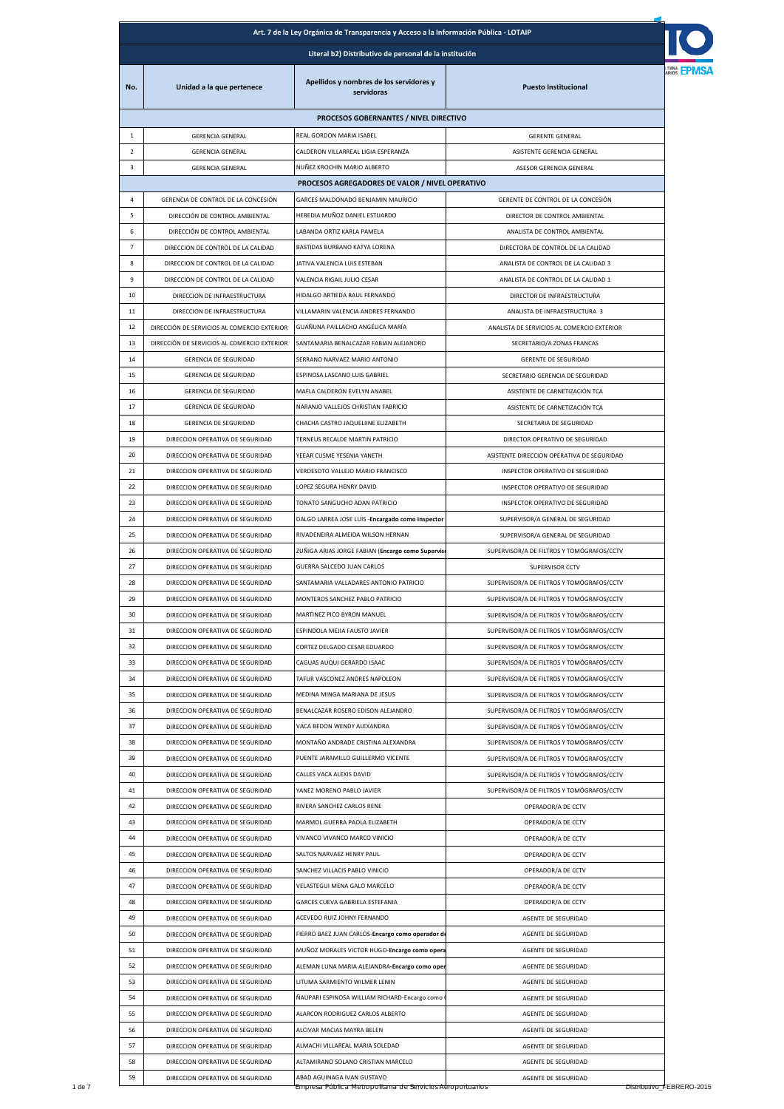| Art. 7 de la Ley Orgánica de Transparencia y Acceso a la Información Pública - LOTAIP |                                             |                                                       |                                            |  |  |  |
|---------------------------------------------------------------------------------------|---------------------------------------------|-------------------------------------------------------|--------------------------------------------|--|--|--|
| Literal b2) Distributivo de personal de la institución                                |                                             |                                                       |                                            |  |  |  |
| No.                                                                                   | Unidad a la que pertenece                   | Apellidos y nombres de los servidores y<br>servidoras | <b>Puesto Institucional</b>                |  |  |  |
|                                                                                       |                                             | PROCESOS GOBERNANTES / NIVEL DIRECTIVO                |                                            |  |  |  |
| 1                                                                                     | <b>GERENCIA GENERAL</b>                     | REAL GORDON MARIA ISABEL                              | <b>GERENTE GENERAL</b>                     |  |  |  |
| $\overline{2}$                                                                        | <b>GERENCIA GENERAL</b>                     | CALDERON VILLARREAL LIGIA ESPERANZA                   | ASISTENTE GERENCIA GENERAL                 |  |  |  |
| 3                                                                                     | <b>GERENCIA GENERAL</b>                     | NUÑEZ KROCHIN MARIO ALBERTO                           | ASESOR GERENCIA GENERAL                    |  |  |  |
|                                                                                       |                                             | PROCESOS AGREGADORES DE VALOR / NIVEL OPERATIVO       |                                            |  |  |  |
| 4                                                                                     | GERENCIA DE CONTROL DE LA CONCESIÓN         | GARCES MALDONADO BENJAMIN MAURICIO                    | GERENTE DE CONTROL DE LA CONCESIÓN         |  |  |  |
| 5                                                                                     | DIRECCIÓN DE CONTROL AMBIENTAL              | HEREDIA MUÑOZ DANIEL ESTUARDO                         | DIRECTOR DE CONTROL AMBIENTAL              |  |  |  |
| 6                                                                                     | DIRECCIÓN DE CONTROL AMBIENTAL              | LABANDA ORTIZ KARLA PAMELA                            | ANALISTA DE CONTROL AMBIENTAL              |  |  |  |
| $\overline{7}$                                                                        | DIRECCION DE CONTROL DE LA CALIDAD          | BASTIDAS BURBANO KATYA LORENA                         | DIRECTORA DE CONTROL DE LA CALIDAD         |  |  |  |
| 8                                                                                     | DIRECCION DE CONTROL DE LA CALIDAD          | JATIVA VALENCIA LUIS ESTEBAN                          | ANALISTA DE CONTROL DE LA CALIDAD 3        |  |  |  |
| 9                                                                                     | DIRECCION DE CONTROL DE LA CALIDAD          | VALENCIA RIGAIL JULIO CESAR                           | ANALISTA DE CONTROL DE LA CALIDAD 1        |  |  |  |
| 10                                                                                    | DIRECCION DE INFRAESTRUCTURA                | HIDALGO ARTIEDA RAUL FERNANDO                         | DIRECTOR DE INFRAESTRUCTURA                |  |  |  |
| 11                                                                                    | DIRECCION DE INFRAESTRUCTURA                | VILLAMARIN VALENCIA ANDRES FERNANDO                   | ANALISTA DE INFRAESTRUCTURA 3              |  |  |  |
| 12                                                                                    | DIRECCIÓN DE SERVICIOS AL COMERCIO EXTERIOR | GUAÑUNA PAILLACHO ANGÉLICA MARÍA                      | ANALISTA DE SERVICIOS AL COMERCIO EXTERIOR |  |  |  |
| 13                                                                                    | DIRECCIÓN DE SERVICIOS AL COMERCIO EXTERIOR | SANTAMARIA BENALCAZAR FABIAN ALEJANDRO                | SECRETARIO/A ZONAS FRANCAS                 |  |  |  |
| 14                                                                                    | <b>GERENCIA DE SEGURIDAD</b>                | SERRANO NARVAEZ MARIO ANTONIO                         | <b>GERENTE DE SEGURIDAD</b>                |  |  |  |
| 15                                                                                    | <b>GERENCIA DE SEGURIDAD</b>                | ESPINOSA LASCANO LUIS GABRIEL                         | SECRETARIO GERENCIA DE SEGURIDAD           |  |  |  |
| 16                                                                                    | <b>GERENCIA DE SEGURIDAD</b>                | MAFLA CALDERON EVELYN ANABEL                          | ASISTENTE DE CARNETIZACIÓN TCA             |  |  |  |
| 17                                                                                    | <b>GERENCIA DE SEGURIDAD</b>                | NARANJO VALLEJOS CHRISTIAN FABRICIO                   | ASISTENTE DE CARNETIZACIÓN TCA             |  |  |  |
| 18                                                                                    | <b>GERENCIA DE SEGURIDAD</b>                | CHACHA CASTRO JAQUELIINE ELIZABETH                    | SECRETARIA DE SEGURIDAD                    |  |  |  |
| 19                                                                                    | DIRECCION OPERATIVA DE SEGURIDAD            | TERNEUS RECALDE MARTIN PATRICIO                       | DIRECTOR OPERATIVO DE SEGURIDAD            |  |  |  |
| 20                                                                                    | DIRECCION OPERATIVA DE SEGURIDAD            | YEEAR CUSME YESENIA YANETH                            | ASISTENTE DIRECCION OPERATIVA DE SEGURIDAD |  |  |  |
| 21                                                                                    | DIRECCION OPERATIVA DE SEGURIDAD            | VERDESOTO VALLEJO MARIO FRANCISCO                     | INSPECTOR OPERATIVO DE SEGURIDAD           |  |  |  |
| 22                                                                                    | DIRECCION OPERATIVA DE SEGURIDAD            | LOPEZ SEGURA HENRY DAVID                              | INSPECTOR OPERATIVO DE SEGURIDAD           |  |  |  |
| 23                                                                                    |                                             | TONATO SANGUCHO ADAN PATRICIO                         |                                            |  |  |  |
| 24                                                                                    | DIRECCION OPERATIVA DE SEGURIDAD            |                                                       | INSPECTOR OPERATIVO DE SEGURIDAD           |  |  |  |
|                                                                                       | DIRECCION OPERATIVA DE SEGURIDAD            | DALGO LARREA JOSE LUIS -Encargado como Inspector      | SUPERVISOR/A GENERAL DE SEGURIDAD          |  |  |  |
| 25                                                                                    | DIRECCION OPERATIVA DE SEGURIDAD            | RIVADENEIRA ALMEIDA WILSON HERNAN                     | SUPERVISOR/A GENERAL DE SEGURIDAD          |  |  |  |
| 26                                                                                    | DIRECCION OPERATIVA DE SEGURIDAD            | ZUÑIGA ARIAS JORGE FABIAN (Encargo como Supervis      | SUPERVISOR/A DE FILTROS Y TOMÓGRAFOS/CCTV  |  |  |  |
| 27                                                                                    | DIRECCION OPERATIVA DE SEGURIDAD            | GUERRA SALCEDO JUAN CARLOS                            | SUPERVISOR CCTV                            |  |  |  |
| 28                                                                                    | DIRECCION OPERATIVA DE SEGURIDAD            | SANTAMARIA VALLADARES ANTONIO PATRICIO                | SUPERVISOR/A DE FILTROS Y TOMÓGRAFOS/CCTV  |  |  |  |
| 29                                                                                    | DIRECCION OPERATIVA DE SEGURIDAD            | MONTEROS SANCHEZ PABLO PATRICIO                       | SUPERVISOR/A DE FILTROS Y TOMÓGRAFOS/CCTV  |  |  |  |
| 30                                                                                    | DIRECCION OPERATIVA DE SEGURIDAD            | MARTINEZ PICO BYRON MANUEL                            | SUPERVISOR/A DE FILTROS Y TOMÓGRAFOS/CCTV  |  |  |  |
| 31                                                                                    | DIRECCION OPERATIVA DE SEGURIDAD            | ESPINDOLA MEJIA FAUSTO JAVIER                         | SUPERVISOR/A DE FILTROS Y TOMÓGRAFOS/CCTV  |  |  |  |
| 32                                                                                    | DIRECCION OPERATIVA DE SEGURIDAD            | CORTEZ DELGADO CESAR EDUARDO                          | SUPERVISOR/A DE FILTROS Y TOMÓGRAFOS/CCTV  |  |  |  |
| 33                                                                                    | DIRECCION OPERATIVA DE SEGURIDAD            | CAGUAS AUQUI GERARDO ISAAC                            | SUPERVISOR/A DE FILTROS Y TOMÓGRAFOS/CCTV  |  |  |  |
| 34                                                                                    | DIRECCION OPERATIVA DE SEGURIDAD            | TAFUR VASCONEZ ANDRES NAPOLEON                        | SUPERVISOR/A DE FILTROS Y TOMÓGRAFOS/CCTV  |  |  |  |
| 35                                                                                    | DIRECCION OPERATIVA DE SEGURIDAD            | MEDINA MINGA MARIANA DE JESUS                         | SUPERVISOR/A DE FILTROS Y TOMÓGRAFOS/CCTV  |  |  |  |
| 36                                                                                    | DIRECCION OPERATIVA DE SEGURIDAD            | BENALCAZAR ROSERO EDISON ALEJANDRO                    | SUPERVISOR/A DE FILTROS Y TOMÓGRAFOS/CCTV  |  |  |  |
| 37                                                                                    | DIRECCION OPERATIVA DE SEGURIDAD            | VACA BEDON WENDY ALEXANDRA                            | SUPERVISOR/A DE FILTROS Y TOMÓGRAFOS/CCTV  |  |  |  |
| 38                                                                                    | DIRECCION OPERATIVA DE SEGURIDAD            | MONTAÑO ANDRADE CRISTINA ALEXANDRA                    | SUPERVISOR/A DE FILTROS Y TOMÓGRAFOS/CCTV  |  |  |  |
| 39                                                                                    | DIRECCION OPERATIVA DE SEGURIDAD            | PUENTE JARAMILLO GUILLERMO VICENTE                    | SUPERVISOR/A DE FILTROS Y TOMÓGRAFOS/CCTV  |  |  |  |
| 40                                                                                    | DIRECCION OPERATIVA DE SEGURIDAD            | CALLES VACA ALEXIS DAVID                              | SUPERVISOR/A DE FILTROS Y TOMÓGRAFOS/CCTV  |  |  |  |
| 41                                                                                    | DIRECCION OPERATIVA DE SEGURIDAD            | YANEZ MORENO PABLO JAVIER                             | SUPERVISOR/A DE FILTROS Y TOMÓGRAFOS/CCTV  |  |  |  |
| 42                                                                                    | DIRECCION OPERATIVA DE SEGURIDAD            | RIVERA SANCHEZ CARLOS RENE                            | OPERADOR/A DE CCTV                         |  |  |  |
| 43                                                                                    | DIRECCION OPERATIVA DE SEGURIDAD            | MARMOL GUERRA PAOLA ELIZABETH                         | OPERADOR/A DE CCTV                         |  |  |  |
| 44                                                                                    | DIRECCION OPERATIVA DE SEGURIDAD            | VIVANCO VIVANCO MARCO VINICIO                         | OPERADOR/A DE CCTV                         |  |  |  |
| 45                                                                                    | DIRECCION OPERATIVA DE SEGURIDAD            | SALTOS NARVAEZ HENRY PAUL                             | OPERADOR/A DE CCTV                         |  |  |  |
| 46                                                                                    | DIRECCION OPERATIVA DE SEGURIDAD            | SANCHEZ VILLACIS PABLO VINICIO                        | OPERADOR/A DE CCTV                         |  |  |  |
| 47                                                                                    | DIRECCION OPERATIVA DE SEGURIDAD            | VELASTEGUI MENA GALO MARCELO                          | OPERADOR/A DE CCTV                         |  |  |  |
| 48                                                                                    | DIRECCION OPERATIVA DE SEGURIDAD            | GARCES CUEVA GABRIELA ESTEFANIA                       | OPERADOR/A DE CCTV                         |  |  |  |
| 49                                                                                    | DIRECCION OPERATIVA DE SEGURIDAD            | ACEVEDO RUIZ JOHNY FERNANDO                           | AGENTE DE SEGURIDAD                        |  |  |  |
| 50                                                                                    | DIRECCION OPERATIVA DE SEGURIDAD            | FIERRO BAEZ JUAN CARLOS-Encargo como operador do      | AGENTE DE SEGURIDAD                        |  |  |  |
| 51                                                                                    | DIRECCION OPERATIVA DE SEGURIDAD            | MUÑOZ MORALES VICTOR HUGO-Encargo como opera          | AGENTE DE SEGURIDAD                        |  |  |  |
| 52                                                                                    | DIRECCION OPERATIVA DE SEGURIDAD            | ALEMAN LUNA MARIA ALEJANDRA-Encargo como oper         | AGENTE DE SEGURIDAD                        |  |  |  |
| 53                                                                                    | DIRECCION OPERATIVA DE SEGURIDAD            | LITUMA SARMIENTO WILMER LENIN                         | AGENTE DE SEGURIDAD                        |  |  |  |
| 54                                                                                    | DIRECCION OPERATIVA DE SEGURIDAD            | ÑAUPARI ESPINOSA WILLIAM RICHARD-Encargo como         | AGENTE DE SEGURIDAD                        |  |  |  |
| 55                                                                                    | DIRECCION OPERATIVA DE SEGURIDAD            | ALARCON RODRIGUEZ CARLOS ALBERTO                      | AGENTE DE SEGURIDAD                        |  |  |  |
| 56                                                                                    | DIRECCION OPERATIVA DE SEGURIDAD            | ALCIVAR MACIAS MAYRA BELEN                            | AGENTE DE SEGURIDAD                        |  |  |  |
| 57                                                                                    | DIRECCION OPERATIVA DE SEGURIDAD            | ALMACHI VILLAREAL MARIA SOLEDAD                       | AGENTE DE SEGURIDAD                        |  |  |  |
| 58                                                                                    | DIRECCION OPERATIVA DE SEGURIDAD            | ALTAMIRANO SOLANO CRISTIAN MARCELO                    | AGENTE DE SEGURIDAD                        |  |  |  |
| 59                                                                                    | DIRECCION OPERATIVA DE SEGURIDAD            | ABAD AGUINAGA IVAN GUSTAVO                            |                                            |  |  |  |
|                                                                                       |                                             |                                                       | AGENTE DE SEGURIDAD                        |  |  |  |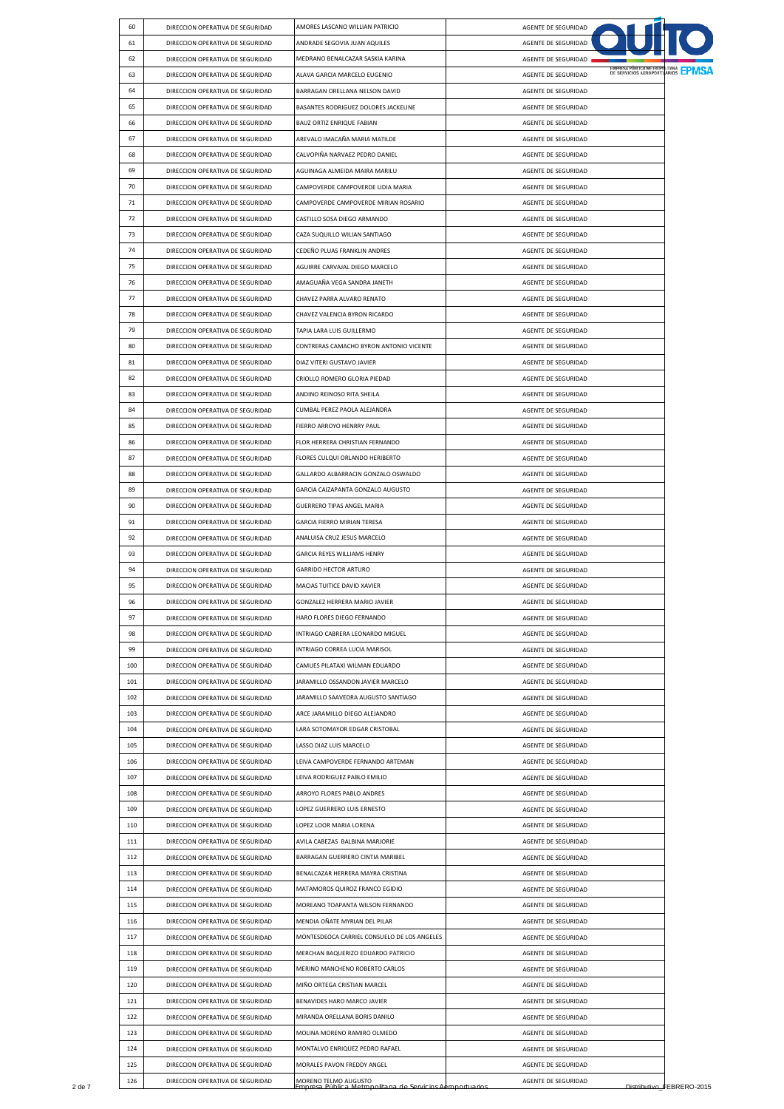| 60  | DIRECCION OPERATIVA DE SEGURIDAD | AMORES LASCANO WILLIAN PATRICIO             | AGENTE DE SEGURIDAD                                      |  |
|-----|----------------------------------|---------------------------------------------|----------------------------------------------------------|--|
| 61  | DIRECCION OPERATIVA DE SEGURIDAD | ANDRADE SEGOVIA JUAN AQUILES                | AGENTE DE SEGURIDAD                                      |  |
| 62  | DIRECCION OPERATIVA DE SEGURIDAD | MEDRANO BENALCAZAR SASKIA KARINA            | AGENTE DE SEGURIDAD                                      |  |
| 63  | DIRECCION OPERATIVA DE SEGURIDAD | ALAVA GARCIA MARCELO EUGENIO                | DE SERVICIOS AEROPORTUARIOS EPMSA<br>AGENTE DE SEGURIDAD |  |
| 64  | DIRECCION OPERATIVA DE SEGURIDAD | BARRAGAN ORELLANA NELSON DAVID              | AGENTE DE SEGURIDAD                                      |  |
| 65  | DIRECCION OPERATIVA DE SEGURIDAD | BASANTES RODRIGUEZ DOLORES JACKELINE        | AGENTE DE SEGURIDAD                                      |  |
| 66  | DIRECCION OPERATIVA DE SEGURIDAD | BAUZ ORTIZ ENRIQUE FABIAN                   | AGENTE DE SEGURIDAD                                      |  |
| 67  | DIRECCION OPERATIVA DE SEGURIDAD | AREVALO IMACAÑA MARIA MATILDE               | AGENTE DE SEGURIDAD                                      |  |
| 68  |                                  |                                             | AGENTE DE SEGURIDAD                                      |  |
|     | DIRECCION OPERATIVA DE SEGURIDAD | CALVOPIÑA NARVAEZ PEDRO DANIEL              |                                                          |  |
| 69  | DIRECCION OPERATIVA DE SEGURIDAD | AGUINAGA ALMEIDA MAIRA MARILU               | AGENTE DE SEGURIDAD                                      |  |
| 70  | DIRECCION OPERATIVA DE SEGURIDAD | CAMPOVERDE CAMPOVERDE LIDIA MARIA           | AGENTE DE SEGURIDAD                                      |  |
| 71  | DIRECCION OPERATIVA DE SEGURIDAD | CAMPOVERDE CAMPOVERDE MIRIAN ROSARIO        | AGENTE DE SEGURIDAD                                      |  |
| 72  | DIRECCION OPERATIVA DE SEGURIDAD | CASTILLO SOSA DIEGO ARMANDO                 | AGENTE DE SEGURIDAD                                      |  |
| 73  | DIRECCION OPERATIVA DE SEGURIDAD | CAZA SUQUILLO WILIAN SANTIAGO               | AGENTE DE SEGURIDAD                                      |  |
| 74  | DIRECCION OPERATIVA DE SEGURIDAD | CEDEÑO PLUAS FRANKLIN ANDRES                | AGENTE DE SEGURIDAD                                      |  |
| 75  | DIRECCION OPERATIVA DE SEGURIDAD | AGUIRRE CARVAJAL DIEGO MARCELO              | AGENTE DE SEGURIDAD                                      |  |
| 76  | DIRECCION OPERATIVA DE SEGURIDAD | AMAGUAÑA VEGA SANDRA JANETH                 | AGENTE DE SEGURIDAD                                      |  |
| 77  | DIRECCION OPERATIVA DE SEGURIDAD | CHAVEZ PARRA ALVARO RENATO                  | AGENTE DE SEGURIDAD                                      |  |
| 78  | DIRECCION OPERATIVA DE SEGURIDAD | CHAVEZ VALENCIA BYRON RICARDO               | AGENTE DE SEGURIDAD                                      |  |
| 79  | DIRECCION OPERATIVA DE SEGURIDAD | TAPIA LARA LUIS GUILLERMO                   | AGENTE DE SEGURIDAD                                      |  |
| 80  | DIRECCION OPERATIVA DE SEGURIDAD | CONTRERAS CAMACHO BYRON ANTONIO VICENTE     | AGENTE DE SEGURIDAD                                      |  |
| 81  | DIRECCION OPERATIVA DE SEGURIDAD | DIAZ VITERI GUSTAVO JAVIER                  | AGENTE DE SEGURIDAD                                      |  |
| 82  | DIRECCION OPERATIVA DE SEGURIDAD | CRIOLLO ROMERO GLORIA PIEDAD                | AGENTE DE SEGURIDAD                                      |  |
| 83  | DIRECCION OPERATIVA DE SEGURIDAD | ANDINO REINOSO RITA SHEILA                  | AGENTE DE SEGURIDAD                                      |  |
| 84  | DIRECCION OPERATIVA DE SEGURIDAD | CUMBAL PEREZ PAOLA ALEJANDRA                | AGENTE DE SEGURIDAD                                      |  |
|     |                                  |                                             |                                                          |  |
| 85  | DIRECCION OPERATIVA DE SEGURIDAD | FIERRO ARROYO HENRRY PAUL                   | AGENTE DE SEGURIDAD                                      |  |
| 86  | DIRECCION OPERATIVA DE SEGURIDAD | FLOR HERRERA CHRISTIAN FERNANDO             | AGENTE DE SEGURIDAD                                      |  |
| 87  | DIRECCION OPERATIVA DE SEGURIDAD | FLORES CULQUI ORLANDO HERIBERTO             | AGENTE DE SEGURIDAD                                      |  |
| 88  | DIRECCION OPERATIVA DE SEGURIDAD | GALLARDO ALBARRACIN GONZALO OSWALDO         | AGENTE DE SEGURIDAD                                      |  |
| 89  | DIRECCION OPERATIVA DE SEGURIDAD | GARCIA CAIZAPANTA GONZALO AUGUSTO           | AGENTE DE SEGURIDAD                                      |  |
| 90  | DIRECCION OPERATIVA DE SEGURIDAD | GUERRERO TIPAS ANGEL MARIA                  | AGENTE DE SEGURIDAD                                      |  |
| 91  | DIRECCION OPERATIVA DE SEGURIDAD | GARCIA FIERRO MIRIAN TERESA                 | AGENTE DE SEGURIDAD                                      |  |
| 92  | DIRECCION OPERATIVA DE SEGURIDAD | ANALUISA CRUZ JESUS MARCELO                 | AGENTE DE SEGURIDAD                                      |  |
| 93  | DIRECCION OPERATIVA DE SEGURIDAD | GARCIA REYES WILLIAMS HENRY                 | AGENTE DE SEGURIDAD                                      |  |
| 94  | DIRECCION OPERATIVA DE SEGURIDAD | <b>GARRIDO HECTOR ARTURO</b>                | AGENTE DE SEGURIDAD                                      |  |
| 95  | DIRECCION OPERATIVA DE SEGURIDAD | MACIAS TUITICE DAVID XAVIER                 | AGENTE DE SEGURIDAD                                      |  |
| 96  | DIRECCION OPERATIVA DE SEGURIDAD | GONZALEZ HERRERA MARIO JAVIER               | AGENTE DE SEGURIDAD                                      |  |
| 97  | DIRECCION OPERATIVA DE SEGURIDAD | HARO FLORES DIEGO FERNANDO                  | AGENTE DE SEGURIDAD                                      |  |
| 98  | DIRECCION OPERATIVA DE SEGURIDAD | INTRIAGO CABRERA LEONARDO MIGUEL            | AGENTE DE SEGURIDAD                                      |  |
| 99  | DIRECCION OPERATIVA DE SEGURIDAD | INTRIAGO CORREA LUCIA MARISOL               | AGENTE DE SEGURIDAD                                      |  |
| 100 | DIRECCION OPERATIVA DE SEGURIDAD | CAMUES PILATAXI WILMAN EDUARDO              | AGENTE DE SEGURIDAD                                      |  |
| 101 | DIRECCION OPERATIVA DE SEGURIDAD | JARAMILLO OSSANDON JAVIER MARCELO           | AGENTE DE SEGURIDAD                                      |  |
| 102 | DIRECCION OPERATIVA DE SEGURIDAD | JARAMILLO SAAVEDRA AUGUSTO SANTIAGO         | AGENTE DE SEGURIDAD                                      |  |
|     |                                  |                                             |                                                          |  |
| 103 | DIRECCION OPERATIVA DE SEGURIDAD | ARCE JARAMILLO DIEGO ALEJANDRO              | AGENTE DE SEGURIDAD                                      |  |
| 104 | DIRECCION OPERATIVA DE SEGURIDAD | LARA SOTOMAYOR EDGAR CRISTOBAL              | AGENTE DE SEGURIDAD                                      |  |
| 105 | DIRECCION OPERATIVA DE SEGURIDAD | LASSO DIAZ LUIS MARCELO                     | AGENTE DE SEGURIDAD                                      |  |
| 106 | DIRECCION OPERATIVA DE SEGURIDAD | LEIVA CAMPOVERDE FERNANDO ARTEMAN           | AGENTE DE SEGURIDAD                                      |  |
| 107 | DIRECCION OPERATIVA DE SEGURIDAD | LEIVA RODRIGUEZ PABLO EMILIO                | AGENTE DE SEGURIDAD                                      |  |
| 108 | DIRECCION OPERATIVA DE SEGURIDAD | ARROYO FLORES PABLO ANDRES                  | AGENTE DE SEGURIDAD                                      |  |
| 109 | DIRECCION OPERATIVA DE SEGURIDAD | LOPEZ GUERRERO LUIS ERNESTO                 | AGENTE DE SEGURIDAD                                      |  |
| 110 | DIRECCION OPERATIVA DE SEGURIDAD | LOPEZ LOOR MARIA LORENA                     | AGENTE DE SEGURIDAD                                      |  |
| 111 | DIRECCION OPERATIVA DE SEGURIDAD | AVILA CABEZAS BALBINA MARJORIE              | AGENTE DE SEGURIDAD                                      |  |
| 112 | DIRECCION OPERATIVA DE SEGURIDAD | BARRAGAN GUERRERO CINTIA MARIBEL            | AGENTE DE SEGURIDAD                                      |  |
| 113 | DIRECCION OPERATIVA DE SEGURIDAD | BENALCAZAR HERRERA MAYRA CRISTINA           | AGENTE DE SEGURIDAD                                      |  |
| 114 | DIRECCION OPERATIVA DE SEGURIDAD | MATAMOROS QUIROZ FRANCO EGIDIO              | AGENTE DE SEGURIDAD                                      |  |
| 115 | DIRECCION OPERATIVA DE SEGURIDAD | MOREANO TOAPANTA WILSON FERNANDO            |                                                          |  |
|     |                                  |                                             | AGENTE DE SEGURIDAD                                      |  |
| 116 | DIRECCION OPERATIVA DE SEGURIDAD | MENDIA OÑATE MYRIAN DEL PILAR               | AGENTE DE SEGURIDAD                                      |  |
| 117 |                                  | MONTESDEOCA CARRIEL CONSUELO DE LOS ANGELES | AGENTE DE SEGURIDAD                                      |  |
|     | DIRECCION OPERATIVA DE SEGURIDAD |                                             |                                                          |  |
| 118 | DIRECCION OPERATIVA DE SEGURIDAD | MERCHAN BAQUERIZO EDUARDO PATRICIO          | AGENTE DE SEGURIDAD                                      |  |
| 119 | DIRECCION OPERATIVA DE SEGURIDAD | MERINO MANCHENO ROBERTO CARLOS              | AGENTE DE SEGURIDAD                                      |  |
| 120 | DIRECCION OPERATIVA DE SEGURIDAD | MIÑO ORTEGA CRISTIAN MARCEL                 | AGENTE DE SEGURIDAD                                      |  |
| 121 | DIRECCION OPERATIVA DE SEGURIDAD | BENAVIDES HARO MARCO JAVIER                 | AGENTE DE SEGURIDAD                                      |  |
| 122 | DIRECCION OPERATIVA DE SEGURIDAD | MIRANDA ORELLANA BORIS DANILO               | AGENTE DE SEGURIDAD                                      |  |
| 123 | DIRECCION OPERATIVA DE SEGURIDAD | MOLINA MORENO RAMIRO OLMEDO                 | AGENTE DE SEGURIDAD                                      |  |
| 124 | DIRECCION OPERATIVA DE SEGURIDAD | MONTALVO ENRIQUEZ PEDRO RAFAEL              | AGENTE DE SEGURIDAD                                      |  |
| 125 | DIRECCION OPERATIVA DE SEGURIDAD | MORALES PAVON FREDDY ANGEL                  | AGENTE DE SEGURIDAD                                      |  |
| 126 | DIRECCION OPERATIVA DE SEGURIDAD | MORENO TELMO AUGUSTO                        | AGENTE DE SEGURIDAD<br>Distributivo FEBRERO-2015         |  |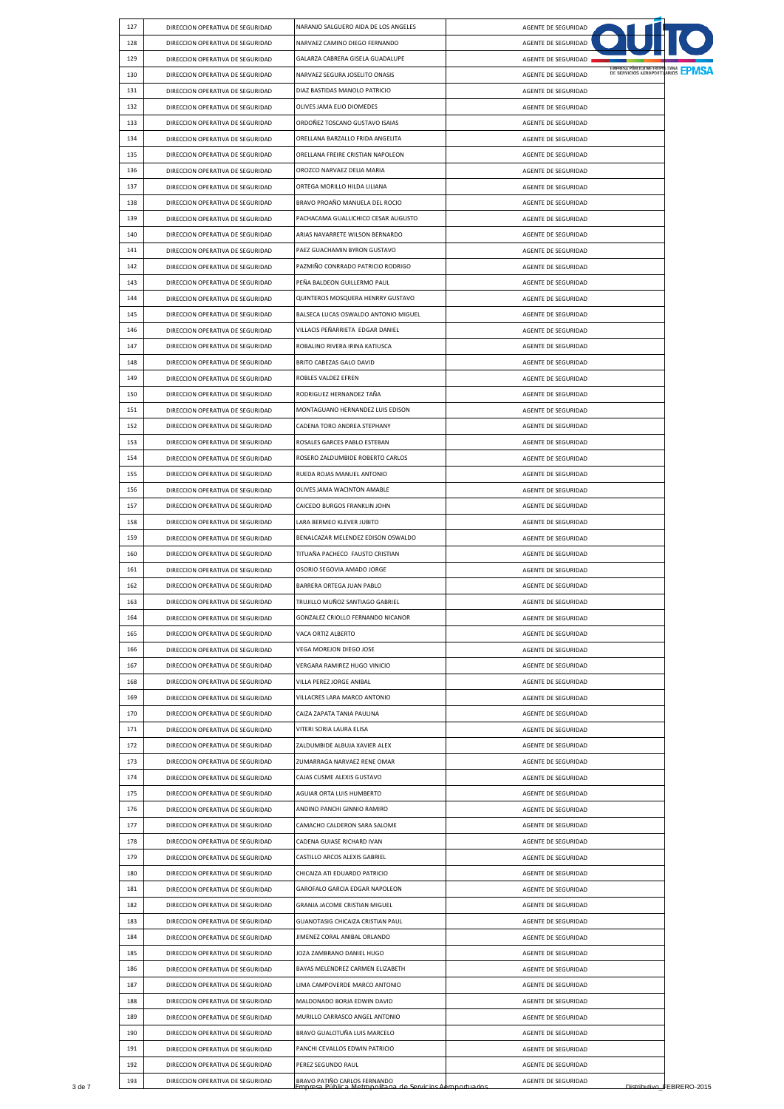| 127 | DIRECCION OPERATIVA DE SEGURIDAD | NARANJO SALGUERO AIDA DE LOS ANGELES | AGENTE DE SEGURIDAD                                             |
|-----|----------------------------------|--------------------------------------|-----------------------------------------------------------------|
| 128 | DIRECCION OPERATIVA DE SEGURIDAD | NARVAEZ CAMINO DIEGO FERNANDO        | AGENTE DE SEGURIDAD                                             |
| 129 | DIRECCION OPERATIVA DE SEGURIDAD | GALARZA CABRERA GISELA GUADALUPE     | AGENTE DE SEGURIDAD                                             |
| 130 | DIRECCION OPERATIVA DE SEGURIDAD | NARVAEZ SEGURA JOSELITO ONASIS       | DE SERVICIOS AEROPORTUARIOS <b>EPMSA</b><br>AGENTE DE SEGURIDAD |
| 131 | DIRECCION OPERATIVA DE SEGURIDAD | DIAZ BASTIDAS MANOLO PATRICIO        | AGENTE DE SEGURIDAD                                             |
| 132 | DIRECCION OPERATIVA DE SEGURIDAD | OLIVES JAMA ELIO DIOMEDES            | AGENTE DE SEGURIDAD                                             |
| 133 | DIRECCION OPERATIVA DE SEGURIDAD | ORDOÑEZ TOSCANO GUSTAVO ISAIAS       | AGENTE DE SEGURIDAD                                             |
| 134 | DIRECCION OPERATIVA DE SEGURIDAD | ORELLANA BARZALLO FRIDA ANGELITA     | AGENTE DE SEGURIDAD                                             |
| 135 | DIRECCION OPERATIVA DE SEGURIDAD | ORELLANA FREIRE CRISTIAN NAPOLEON    | AGENTE DE SEGURIDAD                                             |
| 136 | DIRECCION OPERATIVA DE SEGURIDAD | OROZCO NARVAEZ DELIA MARIA           | AGENTE DE SEGURIDAD                                             |
| 137 | DIRECCION OPERATIVA DE SEGURIDAD | ORTEGA MORILLO HILDA LILIANA         | AGENTE DE SEGURIDAD                                             |
| 138 | DIRECCION OPERATIVA DE SEGURIDAD | BRAVO PROAÑO MANUELA DEL ROCIO       | AGENTE DE SEGURIDAD                                             |
| 139 | DIRECCION OPERATIVA DE SEGURIDAD | PACHACAMA GUALLICHICO CESAR AUGUSTO  | AGENTE DE SEGURIDAD                                             |
| 140 | DIRECCION OPERATIVA DE SEGURIDAD | ARIAS NAVARRETE WILSON BERNARDO      | AGENTE DE SEGURIDAD                                             |
| 141 | DIRECCION OPERATIVA DE SEGURIDAD | PAEZ GUACHAMIN BYRON GUSTAVO         | AGENTE DE SEGURIDAD                                             |
| 142 | DIRECCION OPERATIVA DE SEGURIDAD | PAZMIÑO CONRRADO PATRICIO RODRIGO    | AGENTE DE SEGURIDAD                                             |
| 143 | DIRECCION OPERATIVA DE SEGURIDAD | PEÑA BALDEON GUILLERMO PAUL          | AGENTE DE SEGURIDAD                                             |
|     | DIRECCION OPERATIVA DE SEGURIDAD |                                      |                                                                 |
| 144 |                                  | QUINTEROS MOSQUERA HENRRY GUSTAVO    | AGENTE DE SEGURIDAD                                             |
| 145 | DIRECCION OPERATIVA DE SEGURIDAD | BALSECA LUCAS OSWALDO ANTONIO MIGUEL | AGENTE DE SEGURIDAD                                             |
| 146 | DIRECCION OPERATIVA DE SEGURIDAD | VILLACIS PEÑARRIETA EDGAR DANIEL     | AGENTE DE SEGURIDAD                                             |
| 147 | DIRECCION OPERATIVA DE SEGURIDAD | ROBALINO RIVERA IRINA KATIUSCA       | AGENTE DE SEGURIDAD                                             |
| 148 | DIRECCION OPERATIVA DE SEGURIDAD | BRITO CABEZAS GALO DAVID             | AGENTE DE SEGURIDAD                                             |
| 149 | DIRECCION OPERATIVA DE SEGURIDAD | ROBLES VALDEZ EFREN                  | AGENTE DE SEGURIDAD                                             |
| 150 | DIRECCION OPERATIVA DE SEGURIDAD | RODRIGUEZ HERNANDEZ TAÑA             | AGENTE DE SEGURIDAD                                             |
| 151 | DIRECCION OPERATIVA DE SEGURIDAD | MONTAGUANO HERNANDEZ LUIS EDISON     | AGENTE DE SEGURIDAD                                             |
| 152 | DIRECCION OPERATIVA DE SEGURIDAD | CADENA TORO ANDREA STEPHANY          | AGENTE DE SEGURIDAD                                             |
| 153 | DIRECCION OPERATIVA DE SEGURIDAD | ROSALES GARCES PABLO ESTEBAN         | AGENTE DE SEGURIDAD                                             |
| 154 | DIRECCION OPERATIVA DE SEGURIDAD | ROSERO ZALDUMBIDE ROBERTO CARLOS     | AGENTE DE SEGURIDAD                                             |
| 155 | DIRECCION OPERATIVA DE SEGURIDAD | RUEDA ROJAS MANUEL ANTONIO           | AGENTE DE SEGURIDAD                                             |
| 156 | DIRECCION OPERATIVA DE SEGURIDAD | OLIVES JAMA WACINTON AMABLE          | AGENTE DE SEGURIDAD                                             |
| 157 | DIRECCION OPERATIVA DE SEGURIDAD | CAICEDO BURGOS FRANKLIN JOHN         | AGENTE DE SEGURIDAD                                             |
| 158 | DIRECCION OPERATIVA DE SEGURIDAD | LARA BERMEO KLEVER JUBITO            | AGENTE DE SEGURIDAD                                             |
| 159 | DIRECCION OPERATIVA DE SEGURIDAD | BENALCAZAR MELENDEZ EDISON OSWALDO   | AGENTE DE SEGURIDAD                                             |
| 160 | DIRECCION OPERATIVA DE SEGURIDAD | TITUAÑA PACHECO FAUSTO CRISTIAN      | AGENTE DE SEGURIDAD                                             |
| 161 | DIRECCION OPERATIVA DE SEGURIDAD | OSORIO SEGOVIA AMADO JORGE           | AGENTE DE SEGURIDAD                                             |
| 162 | DIRECCION OPERATIVA DE SEGURIDAD | BARRERA ORTEGA JUAN PABLO            | AGENTE DE SEGURIDAD                                             |
| 163 | DIRECCION OPERATIVA DE SEGURIDAD | TRUJILLO MUÑOZ SANTIAGO GABRIEL      | AGENTE DE SEGURIDAD                                             |
| 164 | DIRECCION OPERATIVA DE SEGURIDAD | GONZALEZ CRIOLLO FERNANDO NICANOR    | AGENTE DE SEGURIDAD                                             |
| 165 | DIRECCION OPERATIVA DE SEGURIDAD | VACA ORTIZ ALBERTO                   | AGENTE DE SEGURIDAD                                             |
| 166 | DIRECCION OPERATIVA DE SEGURIDAD | VEGA MOREJON DIEGO JOSE              |                                                                 |
|     |                                  | VERGARA RAMIREZ HUGO VINICIO         | AGENTE DE SEGURIDAD                                             |
| 167 | DIRECCION OPERATIVA DE SEGURIDAD |                                      | AGENTE DE SEGURIDAD                                             |
| 168 | DIRECCION OPERATIVA DE SEGURIDAD | VILLA PEREZ JORGE ANIBAL             | AGENTE DE SEGURIDAD                                             |
| 169 | DIRECCION OPERATIVA DE SEGURIDAD | VILLACRES LARA MARCO ANTONIO         | AGENTE DE SEGURIDAD                                             |
| 170 | DIRECCION OPERATIVA DE SEGURIDAD | CAIZA ZAPATA TANIA PAULINA           | AGENTE DE SEGURIDAD                                             |
| 171 | DIRECCION OPERATIVA DE SEGURIDAD | VITERI SORIA LAURA ELISA             | AGENTE DE SEGURIDAD                                             |
| 172 | DIRECCION OPERATIVA DE SEGURIDAD | ZALDUMBIDE ALBUJA XAVIER ALEX        | AGENTE DE SEGURIDAD                                             |
| 173 | DIRECCION OPERATIVA DE SEGURIDAD | ZUMARRAGA NARVAEZ RENE OMAR          | AGENTE DE SEGURIDAD                                             |
| 174 | DIRECCION OPERATIVA DE SEGURIDAD | CAJAS CUSME ALEXIS GUSTAVO           | AGENTE DE SEGURIDAD                                             |
| 175 | DIRECCION OPERATIVA DE SEGURIDAD | AGUIAR ORTA LUIS HUMBERTO            | AGENTE DE SEGURIDAD                                             |
| 176 | DIRECCION OPERATIVA DE SEGURIDAD | ANDINO PANCHI GINNIO RAMIRO          | AGENTE DE SEGURIDAD                                             |
| 177 | DIRECCION OPERATIVA DE SEGURIDAD | CAMACHO CALDERON SARA SALOME         | AGENTE DE SEGURIDAD                                             |
| 178 | DIRECCION OPERATIVA DE SEGURIDAD | CADENA GUIASE RICHARD IVAN           | AGENTE DE SEGURIDAD                                             |
| 179 | DIRECCION OPERATIVA DE SEGURIDAD | CASTILLO ARCOS ALEXIS GABRIEL        | AGENTE DE SEGURIDAD                                             |
| 180 | DIRECCION OPERATIVA DE SEGURIDAD | CHICAIZA ATI EDUARDO PATRICIO        | AGENTE DE SEGURIDAD                                             |
| 181 | DIRECCION OPERATIVA DE SEGURIDAD | GAROFALO GARCIA EDGAR NAPOLEON       | AGENTE DE SEGURIDAD                                             |
| 182 | DIRECCION OPERATIVA DE SEGURIDAD | GRANJA JACOME CRISTIAN MIGUEL        | AGENTE DE SEGURIDAD                                             |
| 183 | DIRECCION OPERATIVA DE SEGURIDAD | GUANOTASIG CHICAIZA CRISTIAN PAUL    | AGENTE DE SEGURIDAD                                             |
| 184 | DIRECCION OPERATIVA DE SEGURIDAD | JIMENEZ CORAL ANIBAL ORLANDO         | AGENTE DE SEGURIDAD                                             |
| 185 | DIRECCION OPERATIVA DE SEGURIDAD | JOZA ZAMBRANO DANIEL HUGO            | AGENTE DE SEGURIDAD                                             |
| 186 | DIRECCION OPERATIVA DE SEGURIDAD | BAYAS MELENDREZ CARMEN ELIZABETH     | AGENTE DE SEGURIDAD                                             |
| 187 | DIRECCION OPERATIVA DE SEGURIDAD | LIMA CAMPOVERDE MARCO ANTONIO        | AGENTE DE SEGURIDAD                                             |
| 188 |                                  |                                      |                                                                 |
|     | DIRECCION OPERATIVA DE SEGURIDAD | MALDONADO BORJA EDWIN DAVID          | AGENTE DE SEGURIDAD                                             |
| 189 | DIRECCION OPERATIVA DE SEGURIDAD | MURILLO CARRASCO ANGEL ANTONIO       | AGENTE DE SEGURIDAD                                             |
| 190 | DIRECCION OPERATIVA DE SEGURIDAD | BRAVO GUALOTUÑA LUIS MARCELO         | AGENTE DE SEGURIDAD                                             |
| 191 | DIRECCION OPERATIVA DE SEGURIDAD | PANCHI CEVALLOS EDWIN PATRICIO       | AGENTE DE SEGURIDAD                                             |
| 192 | DIRECCION OPERATIVA DE SEGURIDAD | PEREZ SEGUNDO RAUL                   | AGENTE DE SEGURIDAD                                             |
| 193 | DIRECCION OPERATIVA DE SEGURIDAD | BRAVO PATIÑO CARLOS FERNANDO         | AGENTE DE SEGURIDAD                                             |
|     |                                  | a de Servicios Aeroportuarios        | Distributivo_FEBRERO-2015                                       |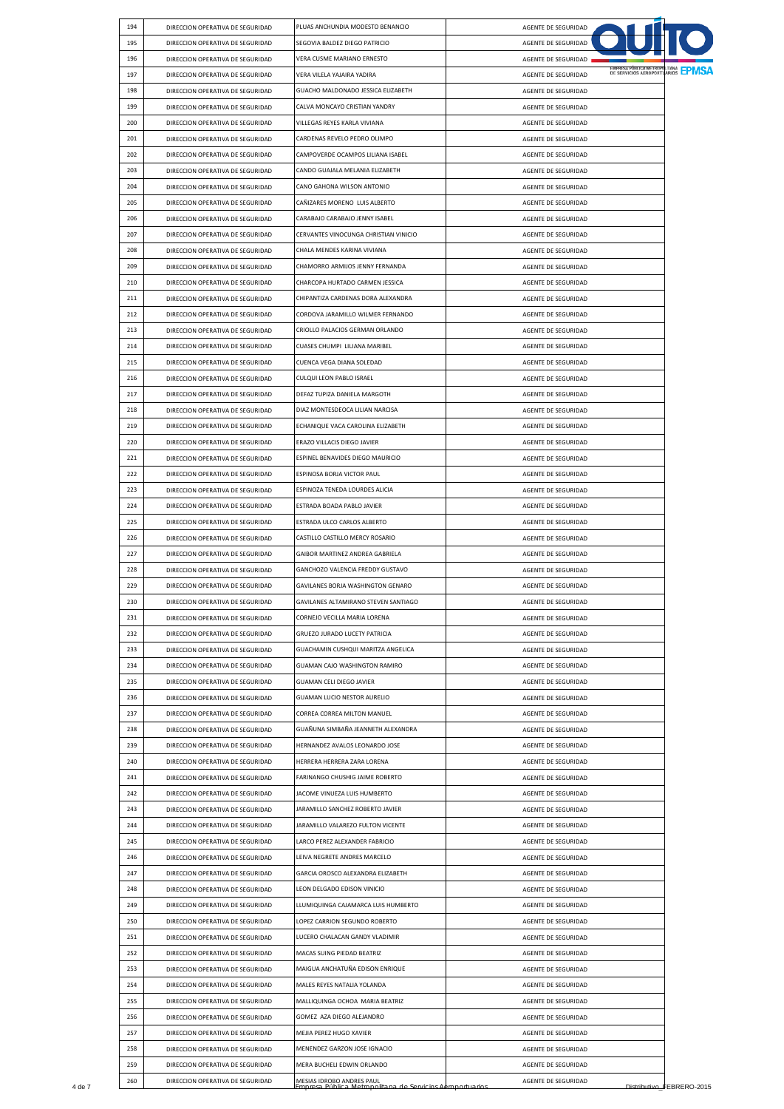|        | 194 | DIRECCION OPERATIVA DE SEGURIDAD | PLUAS ANCHUNDIA MODESTO BENANCIO                                                                | AGENTE DE SEGURIDAD                                      |                           |
|--------|-----|----------------------------------|-------------------------------------------------------------------------------------------------|----------------------------------------------------------|---------------------------|
|        | 195 | DIRECCION OPERATIVA DE SEGURIDAD | SEGOVIA BALDEZ DIEGO PATRICIO                                                                   | AGENTE DE SEGURIDAD                                      |                           |
|        | 196 | DIRECCION OPERATIVA DE SEGURIDAD | VERA CUSME MARIANO ERNESTO                                                                      | AGENTE DE SEGURIDAD                                      |                           |
|        | 197 | DIRECCION OPERATIVA DE SEGURIDAD | VERA VILELA YAJAIRA YADIRA                                                                      | DE SERVICIOS AEROPORTUARIOS EPMSA<br>AGENTE DE SEGURIDAD |                           |
|        | 198 | DIRECCION OPERATIVA DE SEGURIDAD | GUACHO MALDONADO JESSICA ELIZABETH                                                              | AGENTE DE SEGURIDAD                                      |                           |
|        | 199 | DIRECCION OPERATIVA DE SEGURIDAD | CALVA MONCAYO CRISTIAN YANDRY                                                                   | AGENTE DE SEGURIDAD                                      |                           |
|        | 200 | DIRECCION OPERATIVA DE SEGURIDAD | VILLEGAS REYES KARLA VIVIANA                                                                    | AGENTE DE SEGURIDAD                                      |                           |
|        | 201 | DIRECCION OPERATIVA DE SEGURIDAD | CARDENAS REVELO PEDRO OLIMPO                                                                    | AGENTE DE SEGURIDAD                                      |                           |
|        | 202 | DIRECCION OPERATIVA DE SEGURIDAD | CAMPOVERDE OCAMPOS LILIANA ISABEL                                                               | AGENTE DE SEGURIDAD                                      |                           |
|        | 203 | DIRECCION OPERATIVA DE SEGURIDAD | CANDO GUAJALA MELANIA ELIZABETH                                                                 | AGENTE DE SEGURIDAD                                      |                           |
|        | 204 | DIRECCION OPERATIVA DE SEGURIDAD | CANO GAHONA WILSON ANTONIO                                                                      | AGENTE DE SEGURIDAD                                      |                           |
|        | 205 | DIRECCION OPERATIVA DE SEGURIDAD | CAÑIZARES MORENO LUIS ALBERTO                                                                   | AGENTE DE SEGURIDAD                                      |                           |
|        | 206 | DIRECCION OPERATIVA DE SEGURIDAD | CARABAJO CARABAJO JENNY ISABEL                                                                  | AGENTE DE SEGURIDAD                                      |                           |
|        | 207 | DIRECCION OPERATIVA DE SEGURIDAD | CERVANTES VINOCUNGA CHRISTIAN VINICIO                                                           | AGENTE DE SEGURIDAD                                      |                           |
|        | 208 | DIRECCION OPERATIVA DE SEGURIDAD | CHALA MENDES KARINA VIVIANA                                                                     | AGENTE DE SEGURIDAD                                      |                           |
|        | 209 | DIRECCION OPERATIVA DE SEGURIDAD | CHAMORRO ARMIJOS JENNY FERNANDA                                                                 | AGENTE DE SEGURIDAD                                      |                           |
|        | 210 | DIRECCION OPERATIVA DE SEGURIDAD | CHARCOPA HURTADO CARMEN JESSICA                                                                 | AGENTE DE SEGURIDAD                                      |                           |
|        | 211 | DIRECCION OPERATIVA DE SEGURIDAD | CHIPANTIZA CARDENAS DORA ALEXANDRA                                                              | AGENTE DE SEGURIDAD                                      |                           |
|        | 212 | DIRECCION OPERATIVA DE SEGURIDAD | CORDOVA JARAMILLO WILMER FERNANDO                                                               | AGENTE DE SEGURIDAD                                      |                           |
|        | 213 | DIRECCION OPERATIVA DE SEGURIDAD | CRIOLLO PALACIOS GERMAN ORLANDO                                                                 | AGENTE DE SEGURIDAD                                      |                           |
|        | 214 | DIRECCION OPERATIVA DE SEGURIDAD | CUASES CHUMPI LILIANA MARIBEL                                                                   | AGENTE DE SEGURIDAD                                      |                           |
|        | 215 | DIRECCION OPERATIVA DE SEGURIDAD | CUENCA VEGA DIANA SOLEDAD                                                                       | AGENTE DE SEGURIDAD                                      |                           |
|        | 216 | DIRECCION OPERATIVA DE SEGURIDAD | CULQUI LEON PABLO ISRAEL                                                                        | AGENTE DE SEGURIDAD                                      |                           |
|        | 217 | DIRECCION OPERATIVA DE SEGURIDAD | DEFAZ TUPIZA DANIELA MARGOTH                                                                    | AGENTE DE SEGURIDAD                                      |                           |
|        |     |                                  |                                                                                                 |                                                          |                           |
|        | 218 | DIRECCION OPERATIVA DE SEGURIDAD | DIAZ MONTESDEOCA LILIAN NARCISA                                                                 | AGENTE DE SEGURIDAD                                      |                           |
|        | 219 | DIRECCION OPERATIVA DE SEGURIDAD | ECHANIQUE VACA CAROLINA ELIZABETH                                                               | AGENTE DE SEGURIDAD                                      |                           |
|        | 220 | DIRECCION OPERATIVA DE SEGURIDAD | ERAZO VILLACIS DIEGO JAVIER                                                                     | AGENTE DE SEGURIDAD                                      |                           |
|        | 221 | DIRECCION OPERATIVA DE SEGURIDAD | ESPINEL BENAVIDES DIEGO MAURICIO                                                                | AGENTE DE SEGURIDAD                                      |                           |
|        | 222 | DIRECCION OPERATIVA DE SEGURIDAD | ESPINOSA BORJA VICTOR PAUL                                                                      | AGENTE DE SEGURIDAD                                      |                           |
|        | 223 | DIRECCION OPERATIVA DE SEGURIDAD | ESPINOZA TENEDA LOURDES ALICIA                                                                  | AGENTE DE SEGURIDAD                                      |                           |
|        | 224 | DIRECCION OPERATIVA DE SEGURIDAD | ESTRADA BOADA PABLO JAVIER                                                                      | AGENTE DE SEGURIDAD                                      |                           |
|        | 225 | DIRECCION OPERATIVA DE SEGURIDAD | ESTRADA ULCO CARLOS ALBERTO                                                                     | AGENTE DE SEGURIDAD                                      |                           |
|        | 226 | DIRECCION OPERATIVA DE SEGURIDAD | CASTILLO CASTILLO MERCY ROSARIO                                                                 | AGENTE DE SEGURIDAD                                      |                           |
|        | 227 | DIRECCION OPERATIVA DE SEGURIDAD | GAIBOR MARTINEZ ANDREA GABRIELA                                                                 | AGENTE DE SEGURIDAD                                      |                           |
|        | 228 | DIRECCION OPERATIVA DE SEGURIDAD | GANCHOZO VALENCIA FREDDY GUSTAVO                                                                | AGENTE DE SEGURIDAD                                      |                           |
|        | 229 | DIRECCION OPERATIVA DE SEGURIDAD | GAVILANES BORJA WASHINGTON GENARO                                                               | AGENTE DE SEGURIDAD                                      |                           |
|        | 230 | DIRECCION OPERATIVA DE SEGURIDAD | GAVILANES ALTAMIRANO STEVEN SANTIAGO                                                            | AGENTE DE SEGURIDAD                                      |                           |
|        | 231 | DIRECCION OPERATIVA DE SEGURIDAD | CORNEJO VECILLA MARIA LORENA                                                                    | AGENTE DE SEGURIDAD                                      |                           |
|        | 232 | DIRECCION OPERATIVA DE SEGURIDAD | GRUEZO JURADO LUCETY PATRICIA                                                                   | AGENTE DE SEGURIDAD                                      |                           |
|        | 233 | DIRECCION OPERATIVA DE SEGURIDAD | GUACHAMIN CUSHQUI MARITZA ANGELICA                                                              | AGENTE DE SEGURIDAD                                      |                           |
|        | 234 | DIRECCION OPERATIVA DE SEGURIDAD | GUAMAN CAJO WASHINGTON RAMIRO                                                                   | AGENTE DE SEGURIDAD                                      |                           |
|        | 235 | DIRECCION OPERATIVA DE SEGURIDAD | GUAMAN CELI DIEGO JAVIER                                                                        | AGENTE DE SEGURIDAD                                      |                           |
|        | 236 | DIRECCION OPERATIVA DE SEGURIDAD | GUAMAN LUCIO NESTOR AURELIO                                                                     | AGENTE DE SEGURIDAD                                      |                           |
|        | 237 | DIRECCION OPERATIVA DE SEGURIDAD | CORREA CORREA MILTON MANUEL                                                                     | AGENTE DE SEGURIDAD                                      |                           |
|        | 238 | DIRECCION OPERATIVA DE SEGURIDAD | GUAÑUNA SIMBAÑA JEANNETH ALEXANDRA                                                              | AGENTE DE SEGURIDAD                                      |                           |
|        | 239 | DIRECCION OPERATIVA DE SEGURIDAD | HERNANDEZ AVALOS LEONARDO JOSE                                                                  | AGENTE DE SEGURIDAD                                      |                           |
|        | 240 |                                  | HERRERA HERRERA ZARA LORENA                                                                     |                                                          |                           |
|        |     | DIRECCION OPERATIVA DE SEGURIDAD |                                                                                                 | AGENTE DE SEGURIDAD                                      |                           |
|        | 241 | DIRECCION OPERATIVA DE SEGURIDAD | FARINANGO CHUSHIG JAIME ROBERTO                                                                 | AGENTE DE SEGURIDAD                                      |                           |
|        | 242 | DIRECCION OPERATIVA DE SEGURIDAD | JACOME VINUEZA LUIS HUMBERTO                                                                    | AGENTE DE SEGURIDAD                                      |                           |
|        | 243 | DIRECCION OPERATIVA DE SEGURIDAD | JARAMILLO SANCHEZ ROBERTO JAVIER                                                                | AGENTE DE SEGURIDAD                                      |                           |
|        | 244 | DIRECCION OPERATIVA DE SEGURIDAD | JARAMILLO VALAREZO FULTON VICENTE                                                               | AGENTE DE SEGURIDAD                                      |                           |
|        | 245 | DIRECCION OPERATIVA DE SEGURIDAD | LARCO PEREZ ALEXANDER FABRICIO                                                                  | AGENTE DE SEGURIDAD                                      |                           |
|        | 246 | DIRECCION OPERATIVA DE SEGURIDAD | LEIVA NEGRETE ANDRES MARCELO                                                                    | AGENTE DE SEGURIDAD                                      |                           |
|        | 247 | DIRECCION OPERATIVA DE SEGURIDAD | GARCIA OROSCO ALEXANDRA ELIZABETH                                                               | AGENTE DE SEGURIDAD                                      |                           |
|        | 248 | DIRECCION OPERATIVA DE SEGURIDAD | LEON DELGADO EDISON VINICIO                                                                     | AGENTE DE SEGURIDAD                                      |                           |
|        | 249 | DIRECCION OPERATIVA DE SEGURIDAD | LLUMIQUINGA CAJAMARCA LUIS HUMBERTO                                                             | AGENTE DE SEGURIDAD                                      |                           |
|        | 250 | DIRECCION OPERATIVA DE SEGURIDAD | LOPEZ CARRION SEGUNDO ROBERTO                                                                   | AGENTE DE SEGURIDAD                                      |                           |
|        | 251 | DIRECCION OPERATIVA DE SEGURIDAD | LUCERO CHALACAN GANDY VLADIMIR                                                                  | AGENTE DE SEGURIDAD                                      |                           |
|        | 252 | DIRECCION OPERATIVA DE SEGURIDAD | MACAS SUING PIEDAD BEATRIZ                                                                      | AGENTE DE SEGURIDAD                                      |                           |
|        | 253 | DIRECCION OPERATIVA DE SEGURIDAD | MAIGUA ANCHATUÑA EDISON ENRIQUE                                                                 | AGENTE DE SEGURIDAD                                      |                           |
|        | 254 | DIRECCION OPERATIVA DE SEGURIDAD | MALES REYES NATALIA YOLANDA                                                                     | AGENTE DE SEGURIDAD                                      |                           |
|        | 255 | DIRECCION OPERATIVA DE SEGURIDAD | MALLIQUINGA OCHOA MARIA BEATRIZ                                                                 | AGENTE DE SEGURIDAD                                      |                           |
|        | 256 | DIRECCION OPERATIVA DE SEGURIDAD | GOMEZ AZA DIEGO ALEJANDRO                                                                       | AGENTE DE SEGURIDAD                                      |                           |
|        | 257 | DIRECCION OPERATIVA DE SEGURIDAD | MEJIA PEREZ HUGO XAVIER                                                                         | AGENTE DE SEGURIDAD                                      |                           |
|        | 258 | DIRECCION OPERATIVA DE SEGURIDAD | MENENDEZ GARZON JOSE IGNACIO                                                                    | AGENTE DE SEGURIDAD                                      |                           |
|        | 259 | DIRECCION OPERATIVA DE SEGURIDAD | MERA BUCHELI EDWIN ORLANDO                                                                      | AGENTE DE SEGURIDAD                                      |                           |
|        | 260 | DIRECCION OPERATIVA DE SEGURIDAD | MESIAS IDROBO ANDRES PAUL<br>Empresa Príb <u>lica Metropolitana de Servicios Aeroportuarios</u> | AGENTE DE SEGURIDAD                                      |                           |
| 4 de 7 |     |                                  |                                                                                                 |                                                          | Distributivo_FEBRERO-2015 |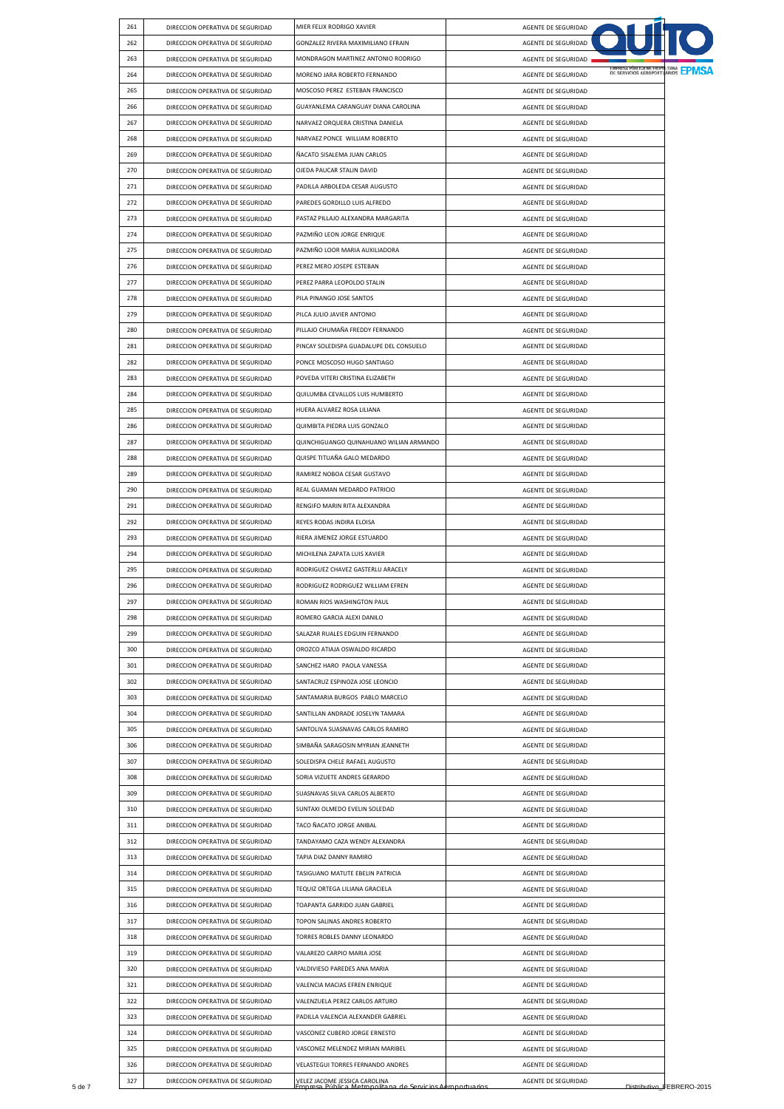| 261 | DIRECCION OPERATIVA DE SEGURIDAD                                     | MIER FELIX RODRIGO XAVIER                                                                       | AGENTE DE SEGURIDAD                                        |                           |
|-----|----------------------------------------------------------------------|-------------------------------------------------------------------------------------------------|------------------------------------------------------------|---------------------------|
| 262 | DIRECCION OPERATIVA DE SEGURIDAD                                     | GONZALEZ RIVERA MAXIMILIANO EFRAIN                                                              | AGENTE DE SEGURIDAD                                        |                           |
| 263 | DIRECCION OPERATIVA DE SEGURIDAD                                     | MONDRAGON MARTINEZ ANTONIO RODRIGO                                                              | AGENTE DE SEGURIDAD                                        |                           |
| 264 | DIRECCION OPERATIVA DE SEGURIDAD                                     | MORENO JARA ROBERTO FERNANDO                                                                    | ENTRESA PUBLICA METROPOLITANA EPMSA<br>AGENTE DE SEGURIDAD |                           |
| 265 | DIRECCION OPERATIVA DE SEGURIDAD                                     | MOSCOSO PEREZ ESTEBAN FRANCISCO                                                                 | AGENTE DE SEGURIDAD                                        |                           |
| 266 | DIRECCION OPERATIVA DE SEGURIDAD                                     | GUAYANLEMA CARANGUAY DIANA CAROLINA                                                             | AGENTE DE SEGURIDAD                                        |                           |
| 267 | DIRECCION OPERATIVA DE SEGURIDAD                                     | NARVAEZ ORQUERA CRISTINA DANIELA                                                                | AGENTE DE SEGURIDAD                                        |                           |
| 268 | DIRECCION OPERATIVA DE SEGURIDAD                                     | NARVAEZ PONCE WILLIAM ROBERTO                                                                   | AGENTE DE SEGURIDAD                                        |                           |
| 269 | DIRECCION OPERATIVA DE SEGURIDAD                                     | ÑACATO SISALEMA JUAN CARLOS                                                                     | AGENTE DE SEGURIDAD                                        |                           |
| 270 | DIRECCION OPERATIVA DE SEGURIDAD                                     | OJEDA PAUCAR STALIN DAVID                                                                       | AGENTE DE SEGURIDAD                                        |                           |
| 271 | DIRECCION OPERATIVA DE SEGURIDAD                                     | PADILLA ARBOLEDA CESAR AUGUSTO                                                                  | AGENTE DE SEGURIDAD                                        |                           |
| 272 | DIRECCION OPERATIVA DE SEGURIDAD                                     | PAREDES GORDILLO LUIS ALFREDO                                                                   | AGENTE DE SEGURIDAD                                        |                           |
| 273 | DIRECCION OPERATIVA DE SEGURIDAD                                     | PASTAZ PILLAJO ALEXANDRA MARGARITA                                                              | AGENTE DE SEGURIDAD                                        |                           |
| 274 | DIRECCION OPERATIVA DE SEGURIDAD                                     | PAZMIÑO LEON JORGE ENRIQUE                                                                      | AGENTE DE SEGURIDAD                                        |                           |
| 275 | DIRECCION OPERATIVA DE SEGURIDAD                                     | PAZMIÑO LOOR MARIA AUXILIADORA                                                                  | AGENTE DE SEGURIDAD                                        |                           |
| 276 | DIRECCION OPERATIVA DE SEGURIDAD                                     | PEREZ MERO JOSEPE ESTEBAN                                                                       | AGENTE DE SEGURIDAD                                        |                           |
| 277 | DIRECCION OPERATIVA DE SEGURIDAD                                     | PEREZ PARRA LEOPOLDO STALIN                                                                     | AGENTE DE SEGURIDAD                                        |                           |
| 278 | DIRECCION OPERATIVA DE SEGURIDAD                                     | PILA PINANGO JOSE SANTOS                                                                        | AGENTE DE SEGURIDAD                                        |                           |
| 279 | DIRECCION OPERATIVA DE SEGURIDAD                                     | PILCA JULIO JAVIER ANTONIO                                                                      | AGENTE DE SEGURIDAD                                        |                           |
| 280 | DIRECCION OPERATIVA DE SEGURIDAD                                     | PILLAJO CHUMAÑA FREDDY FERNANDO                                                                 | AGENTE DE SEGURIDAD                                        |                           |
| 281 | DIRECCION OPERATIVA DE SEGURIDAD                                     | PINCAY SOLEDISPA GUADALUPE DEL CONSUELO                                                         | AGENTE DE SEGURIDAD                                        |                           |
| 282 | DIRECCION OPERATIVA DE SEGURIDAD                                     | PONCE MOSCOSO HUGO SANTIAGO                                                                     | AGENTE DE SEGURIDAD                                        |                           |
| 283 | DIRECCION OPERATIVA DE SEGURIDAD                                     | POVEDA VITERI CRISTINA ELIZABETH                                                                | AGENTE DE SEGURIDAD                                        |                           |
| 284 | DIRECCION OPERATIVA DE SEGURIDAD                                     | QUILUMBA CEVALLOS LUIS HUMBERTO                                                                 | AGENTE DE SEGURIDAD                                        |                           |
| 285 | DIRECCION OPERATIVA DE SEGURIDAD                                     | HUERA ALVAREZ ROSA LILIANA                                                                      | AGENTE DE SEGURIDAD                                        |                           |
| 286 | DIRECCION OPERATIVA DE SEGURIDAD                                     | QUIMBITA PIEDRA LUIS GONZALO                                                                    | AGENTE DE SEGURIDAD                                        |                           |
| 287 | DIRECCION OPERATIVA DE SEGURIDAD                                     | QUINCHIGUANGO QUINAHUANO WILIAN ARMANDO                                                         | AGENTE DE SEGURIDAD                                        |                           |
| 288 | DIRECCION OPERATIVA DE SEGURIDAD                                     | QUISPE TITUAÑA GALO MEDARDO                                                                     | AGENTE DE SEGURIDAD                                        |                           |
| 289 | DIRECCION OPERATIVA DE SEGURIDAD                                     | RAMIREZ NOBOA CESAR GUSTAVO                                                                     | AGENTE DE SEGURIDAD                                        |                           |
| 290 | DIRECCION OPERATIVA DE SEGURIDAD                                     | REAL GUAMAN MEDARDO PATRICIO                                                                    | AGENTE DE SEGURIDAD                                        |                           |
| 291 | DIRECCION OPERATIVA DE SEGURIDAD                                     | RENGIFO MARIN RITA ALEXANDRA                                                                    | AGENTE DE SEGURIDAD                                        |                           |
| 292 |                                                                      | REYES RODAS INDIRA ELOISA                                                                       |                                                            |                           |
| 293 | DIRECCION OPERATIVA DE SEGURIDAD<br>DIRECCION OPERATIVA DE SEGURIDAD |                                                                                                 | AGENTE DE SEGURIDAD                                        |                           |
| 294 | DIRECCION OPERATIVA DE SEGURIDAD                                     | RIERA JIMENEZ JORGE ESTUARDO<br>MICHILENA ZAPATA LUIS XAVIER                                    | AGENTE DE SEGURIDAD                                        |                           |
| 295 |                                                                      | RODRIGUEZ CHAVEZ GASTERLU ARACELY                                                               | AGENTE DE SEGURIDAD                                        |                           |
| 296 | DIRECCION OPERATIVA DE SEGURIDAD<br>DIRECCION OPERATIVA DE SEGURIDAD | RODRIGUEZ RODRIGUEZ WILLIAM EFREN                                                               | AGENTE DE SEGURIDAD<br>AGENTE DE SEGURIDAD                 |                           |
| 297 | DIRECCION OPERATIVA DE SEGURIDAD                                     | ROMAN RIOS WASHINGTON PAUL                                                                      |                                                            |                           |
| 298 |                                                                      |                                                                                                 | AGENTE DE SEGURIDAD                                        |                           |
|     | DIRECCION OPERATIVA DE SEGURIDAD                                     | ROMERO GARCIA ALEXI DANILO                                                                      | AGENTE DE SEGURIDAD                                        |                           |
| 299 | DIRECCION OPERATIVA DE SEGURIDAD                                     | SALAZAR RUALES EDGUIN FERNANDO                                                                  | AGENTE DE SEGURIDAD                                        |                           |
| 300 | DIRECCION OPERATIVA DE SEGURIDAD                                     | OROZCO ATIAJA OSWALDO RICARDO                                                                   | AGENTE DE SEGURIDAD                                        |                           |
| 301 | DIRECCION OPERATIVA DE SEGURIDAD                                     | SANCHEZ HARO PAOLA VANESSA                                                                      | AGENTE DE SEGURIDAD                                        |                           |
| 302 | DIRECCION OPERATIVA DE SEGURIDAD                                     | SANTACRUZ ESPINOZA JOSE LEONCIO                                                                 | AGENTE DE SEGURIDAD                                        |                           |
| 303 | DIRECCION OPERATIVA DE SEGURIDAD                                     | SANTAMARIA BURGOS PABLO MARCELO                                                                 | AGENTE DE SEGURIDAD                                        |                           |
| 304 | DIRECCION OPERATIVA DE SEGURIDAD                                     | SANTILLAN ANDRADE JOSELYN TAMARA                                                                | AGENTE DE SEGURIDAD                                        |                           |
| 305 | DIRECCION OPERATIVA DE SEGURIDAD                                     | SANTOLIVA SUASNAVAS CARLOS RAMIRO                                                               | AGENTE DE SEGURIDAD                                        |                           |
| 306 | DIRECCION OPERATIVA DE SEGURIDAD                                     | SIMBAÑA SARAGOSIN MYRIAN JEANNETH                                                               | AGENTE DE SEGURIDAD                                        |                           |
| 307 | DIRECCION OPERATIVA DE SEGURIDAD                                     | SOLEDISPA CHELE RAFAEL AUGUSTO                                                                  | AGENTE DE SEGURIDAD                                        |                           |
| 308 | DIRECCION OPERATIVA DE SEGURIDAD                                     | SORIA VIZUETE ANDRES GERARDO                                                                    | AGENTE DE SEGURIDAD                                        |                           |
| 309 | DIRECCION OPERATIVA DE SEGURIDAD                                     | SUASNAVAS SILVA CARLOS ALBERTO                                                                  | AGENTE DE SEGURIDAD                                        |                           |
| 310 | DIRECCION OPERATIVA DE SEGURIDAD                                     | SUNTAXI OLMEDO EVELIN SOLEDAD                                                                   | AGENTE DE SEGURIDAD                                        |                           |
| 311 | DIRECCION OPERATIVA DE SEGURIDAD                                     | TACO ÑACATO JORGE ANIBAL                                                                        | AGENTE DE SEGURIDAD                                        |                           |
| 312 | DIRECCION OPERATIVA DE SEGURIDAD                                     | TANDAYAMO CAZA WENDY ALEXANDRA                                                                  | AGENTE DE SEGURIDAD                                        |                           |
| 313 | DIRECCION OPERATIVA DE SEGURIDAD                                     | TAPIA DIAZ DANNY RAMIRO                                                                         | AGENTE DE SEGURIDAD                                        |                           |
| 314 | DIRECCION OPERATIVA DE SEGURIDAD                                     | TASIGUANO MATUTE EBELIN PATRICIA                                                                | AGENTE DE SEGURIDAD                                        |                           |
| 315 | DIRECCION OPERATIVA DE SEGURIDAD                                     | TEQUIZ ORTEGA LILIANA GRACIELA                                                                  | AGENTE DE SEGURIDAD                                        |                           |
| 316 | DIRECCION OPERATIVA DE SEGURIDAD                                     | TOAPANTA GARRIDO JUAN GABRIEL                                                                   | AGENTE DE SEGURIDAD                                        |                           |
| 317 | DIRECCION OPERATIVA DE SEGURIDAD                                     | TOPON SALINAS ANDRES ROBERTO                                                                    | AGENTE DE SEGURIDAD                                        |                           |
| 318 | DIRECCION OPERATIVA DE SEGURIDAD                                     | TORRES ROBLES DANNY LEONARDO                                                                    | AGENTE DE SEGURIDAD                                        |                           |
| 319 | DIRECCION OPERATIVA DE SEGURIDAD                                     | VALAREZO CARPIO MARIA JOSE                                                                      | AGENTE DE SEGURIDAD                                        |                           |
| 320 | DIRECCION OPERATIVA DE SEGURIDAD                                     | VALDIVIESO PAREDES ANA MARIA                                                                    | AGENTE DE SEGURIDAD                                        |                           |
| 321 | DIRECCION OPERATIVA DE SEGURIDAD                                     | VALENCIA MACIAS EFREN ENRIQUE                                                                   | AGENTE DE SEGURIDAD                                        |                           |
| 322 | DIRECCION OPERATIVA DE SEGURIDAD                                     | VALENZUELA PEREZ CARLOS ARTURO                                                                  | AGENTE DE SEGURIDAD                                        |                           |
| 323 | DIRECCION OPERATIVA DE SEGURIDAD                                     | PADILLA VALENCIA ALEXANDER GABRIEL                                                              | AGENTE DE SEGURIDAD                                        |                           |
| 324 | DIRECCION OPERATIVA DE SEGURIDAD                                     | VASCONEZ CUBERO JORGE ERNESTO                                                                   | AGENTE DE SEGURIDAD                                        |                           |
| 325 | DIRECCION OPERATIVA DE SEGURIDAD                                     | VASCONEZ MELENDEZ MIRIAN MARIBEL                                                                | AGENTE DE SEGURIDAD                                        |                           |
| 326 | DIRECCION OPERATIVA DE SEGURIDAD                                     | VELASTEGUI TORRES FERNANDO ANDRES                                                               | AGENTE DE SEGURIDAD                                        |                           |
| 327 | DIRECCION OPERATIVA DE SEGURIDAD                                     | .<br>VELEZ JACOME JESSICA CAROLINA<br>Empresa Pública Metropolitana de Servicios Aeroportuarios | AGENTE DE SEGURIDAD                                        |                           |
|     |                                                                      |                                                                                                 |                                                            | Distributivo_FEBRERO-2015 |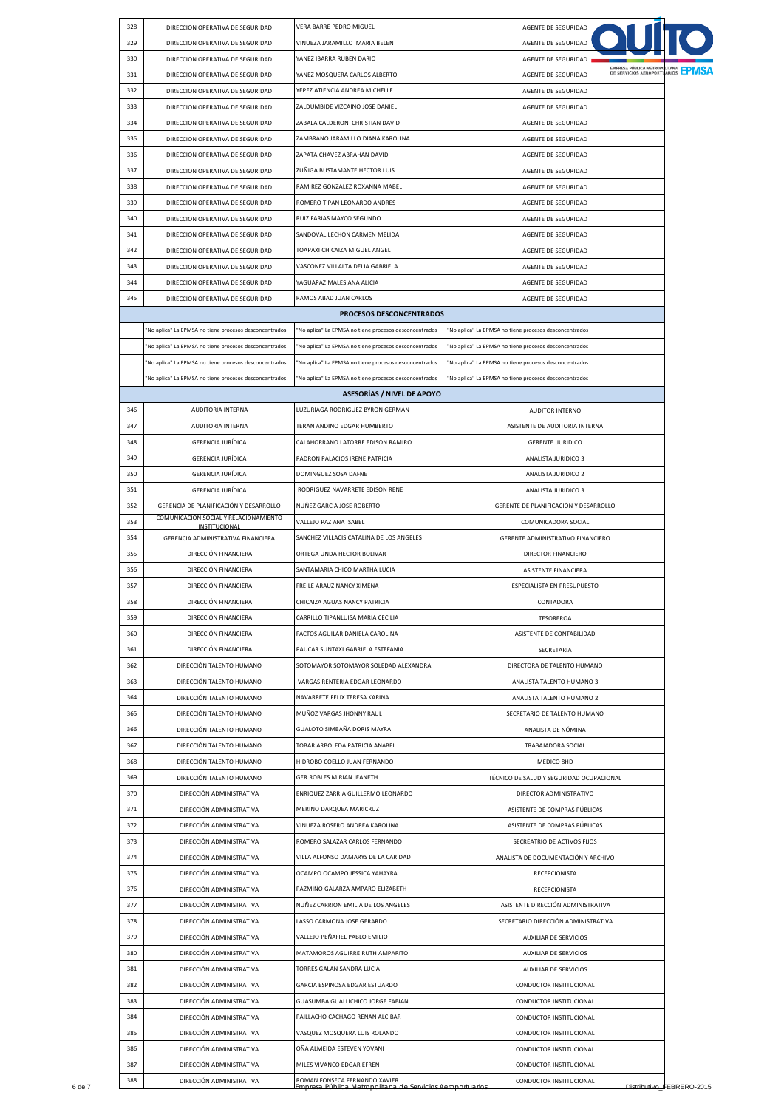| 328 | DIRECCION OPERATIVA DE SEGURIDAD                       | VERA BARRE PEDRO MIGUEL                                | AGENTE DE SEGURIDAD                                             |
|-----|--------------------------------------------------------|--------------------------------------------------------|-----------------------------------------------------------------|
| 329 | DIRECCION OPERATIVA DE SEGURIDAD                       | VINUEZA JARAMILLO MARIA BELEN                          | AGENTE DE SEGURIDAD                                             |
| 330 | DIRECCION OPERATIVA DE SEGURIDAD                       | YANEZ IBARRA RUBEN DARIO                               | AGENTE DE SEGURIDAD                                             |
| 331 | DIRECCION OPERATIVA DE SEGURIDAD                       | YANEZ MOSQUERA CARLOS ALBERTO                          | DE SERVICIOS AEROPORTUARIOS <b>LPMSA</b><br>AGENTE DE SEGURIDAD |
| 332 | DIRECCION OPERATIVA DE SEGURIDAD                       | YEPEZ ATIENCIA ANDREA MICHELLE                         | AGENTE DE SEGURIDAD                                             |
| 333 | DIRECCION OPERATIVA DE SEGURIDAD                       | ZALDUMBIDE VIZCAINO JOSE DANIEL                        | AGENTE DE SEGURIDAD                                             |
| 334 | DIRECCION OPERATIVA DE SEGURIDAD                       | ZABALA CALDERON CHRISTIAN DAVID                        | AGENTE DE SEGURIDAD                                             |
| 335 | DIRECCION OPERATIVA DE SEGURIDAD                       | ZAMBRANO JARAMILLO DIANA KAROLINA                      | AGENTE DE SEGURIDAD                                             |
| 336 | DIRECCION OPERATIVA DE SEGURIDAD                       | ZAPATA CHAVEZ ABRAHAN DAVID                            | AGENTE DE SEGURIDAD                                             |
|     |                                                        |                                                        |                                                                 |
| 337 | DIRECCION OPERATIVA DE SEGURIDAD                       | ZUÑIGA BUSTAMANTE HECTOR LUIS                          | AGENTE DE SEGURIDAD                                             |
| 338 | DIRECCION OPERATIVA DE SEGURIDAD                       | RAMIREZ GONZALEZ ROXANNA MABEL                         | AGENTE DE SEGURIDAD                                             |
| 339 | DIRECCION OPERATIVA DE SEGURIDAD                       | ROMERO TIPAN LEONARDO ANDRES                           | AGENTE DE SEGURIDAD                                             |
| 340 | DIRECCION OPERATIVA DE SEGURIDAD                       | RUIZ FARIAS MAYCO SEGUNDO                              | AGENTE DE SEGURIDAD                                             |
| 341 | DIRECCION OPERATIVA DE SEGURIDAD                       | SANDOVAL LECHON CARMEN MELIDA                          | AGENTE DE SEGURIDAD                                             |
| 342 | DIRECCION OPERATIVA DE SEGURIDAD                       | TOAPAXI CHICAIZA MIGUEL ANGEL                          | AGENTE DE SEGURIDAD                                             |
| 343 | DIRECCION OPERATIVA DE SEGURIDAD                       | VASCONEZ VILLALTA DELIA GABRIELA                       | AGENTE DE SEGURIDAD                                             |
| 344 | DIRECCION OPERATIVA DE SEGURIDAD                       | YAGUAPAZ MALES ANA ALICIA                              | AGENTE DE SEGURIDAD                                             |
| 345 | DIRECCION OPERATIVA DE SEGURIDAD                       | RAMOS ABAD JUAN CARLOS                                 | AGENTE DE SEGURIDAD                                             |
|     |                                                        |                                                        |                                                                 |
|     |                                                        | PROCESOS DESCONCENTRADOS                               |                                                                 |
|     | "No aplica" La EPMSA no tiene procesos desconcentrados | "No aplica" La EPMSA no tiene procesos desconcentrados | "No aplica" La EPMSA no tiene procesos desconcentrados          |
|     | "No aplica" La EPMSA no tiene procesos desconcentrados | "No aplica" La EPMSA no tiene procesos desconcentrados | "No aplica" La EPMSA no tiene procesos desconcentrados          |
|     | "No aplica" La EPMSA no tiene procesos desconcentrados | "No aplica" La EPMSA no tiene procesos desconcentrados | "No aplica" La EPMSA no tiene procesos desconcentrados          |
|     | "No aplica" La EPMSA no tiene procesos desconcentrados | "No aplica" La EPMSA no tiene procesos desconcentrados | "No aplica" La EPMSA no tiene procesos desconcentrados          |
|     |                                                        | <b>ASESORÍAS / NIVEL DE APOYO</b>                      |                                                                 |
| 346 | AUDITORIA INTERNA                                      | LUZURIAGA RODRIGUEZ BYRON GERMAN                       | AUDITOR INTERNO                                                 |
| 347 | AUDITORIA INTERNA                                      | TERAN ANDINO EDGAR HUMBERTO                            | ASISTENTE DE AUDITORIA INTERNA                                  |
| 348 | <b>GERENCIA JURÍDICA</b>                               | CALAHORRANO LATORRE EDISON RAMIRO                      | <b>GERENTE JURIDICO</b>                                         |
|     |                                                        |                                                        |                                                                 |
| 349 | <b>GERENCIA JURÍDICA</b>                               | PADRON PALACIOS IRENE PATRICIA                         | ANALISTA JURIDICO 3                                             |
| 350 | GERENCIA JURÍDICA                                      | DOMINGUEZ SOSA DAFNE                                   | ANALISTA JURIDICO 2                                             |
| 351 | <b>GERENCIA JURÍDICA</b>                               | RODRIGUEZ NAVARRETE EDISON RENE                        | ANALISTA JURIDICO 3                                             |
| 352 | GERENCIA DE PLANIFICACIÓN Y DESARROLLO                 | NUÑEZ GARCIA JOSE ROBERTO                              | GERENTE DE PLANIFICACIÓN Y DESARROLLO                           |
| 353 | COMUNICACION SOCIAL Y RELACIONAMIENTO<br>INSTITUCIONAL | VALLEJO PAZ ANA ISABEL                                 | COMUNICADORA SOCIAL                                             |
| 354 | GERENCIA ADMINISTRATIVA FINANCIERA                     | SANCHEZ VILLACIS CATALINA DE LOS ANGELES               | GERENTE ADMINISTRATIVO FINANCIERO                               |
| 355 | DIRECCIÓN FINANCIERA                                   | ORTEGA UNDA HECTOR BOLIVAR                             | DIRECTOR FINANCIERO                                             |
| 356 | DIRECCIÓN FINANCIERA                                   | SANTAMARIA CHICO MARTHA LUCIA                          | <b>ASISTENTE FINANCIERA</b>                                     |
|     |                                                        |                                                        |                                                                 |
| 357 | DIRECCIÓN FINANCIERA                                   | FREILE ARAUZ NANCY XIMENA                              | ESPECIALISTA EN PRESUPUESTO                                     |
| 358 | DIRECCIÓN FINANCIERA                                   | CHICAIZA AGUAS NANCY PATRICIA                          | CONTADORA                                                       |
| 359 | DIRECCIÓN FINANCIERA                                   | CARRILLO TIPANLUISA MARIA CECILIA                      | TESOREROA                                                       |
| 360 | DIRECCIÓN FINANCIERA                                   | FACTOS AGUILAR DANIELA CAROLINA                        | ASISTENTE DE CONTABILIDAD                                       |
| 361 | DIRECCIÓN FINANCIERA                                   | PAUCAR SUNTAXI GABRIELA ESTEFANIA                      | SECRETARIA                                                      |
| 362 | DIRECCIÓN TALENTO HUMANO                               | SOTOMAYOR SOTOMAYOR SOLEDAD ALEXANDRA                  | DIRECTORA DE TALENTO HUMANO                                     |
| 363 | DIRECCIÓN TALENTO HUMANO                               | VARGAS RENTERIA EDGAR LEONARDO                         | ANALISTA TALENTO HUMANO 3                                       |
| 364 | DIRECCIÓN TALENTO HUMANO                               | NAVARRETE FELIX TERESA KARINA                          | ANALISTA TALENTO HUMANO 2                                       |
| 365 | DIRECCIÓN TALENTO HUMANO                               | MUÑOZ VARGAS JHONNY RAUL                               | SECRETARIO DE TALENTO HUMANO                                    |
| 366 | DIRECCIÓN TALENTO HUMANO                               | GUALOTO SIMBAÑA DORIS MAYRA                            | ANALISTA DE NÓMINA                                              |
|     |                                                        |                                                        |                                                                 |
| 367 | DIRECCIÓN TALENTO HUMANO                               | TOBAR ARBOLEDA PATRICIA ANABEL                         | TRABAJADORA SOCIAL                                              |
| 368 | DIRECCIÓN TALENTO HUMANO                               | HIDROBO COELLO JUAN FERNANDO                           | MEDICO 8HD                                                      |
| 369 | DIRECCIÓN TALENTO HUMANO                               | GER ROBLES MIRIAN JEANETH                              | TÉCNICO DE SALUD Y SEGURIDAD OCUPACIONAL                        |
| 370 | DIRECCIÓN ADMINISTRATIVA                               | ENRIQUEZ ZARRIA GUILLERMO LEONARDO                     | DIRECTOR ADMINISTRATIVO                                         |
| 371 | DIRECCIÓN ADMINISTRATIVA                               | MERINO DARQUEA MARICRUZ                                | ASISTENTE DE COMPRAS PÚBLICAS                                   |
| 372 | DIRECCIÓN ADMINISTRATIVA                               | VINUEZA ROSERO ANDREA KAROLINA                         | ASISTENTE DE COMPRAS PÚBLICAS                                   |
| 373 | DIRECCIÓN ADMINISTRATIVA                               | ROMERO SALAZAR CARLOS FERNANDO                         | SECREATRIO DE ACTIVOS FIJOS                                     |
| 374 | DIRECCIÓN ADMINISTRATIVA                               | VILLA ALFONSO DAMARYS DE LA CARIDAD                    | ANALISTA DE DOCUMENTACIÓN Y ARCHIVO                             |
| 375 | DIRECCIÓN ADMINISTRATIVA                               | OCAMPO OCAMPO JESSICA YAHAYRA                          | RECEPCIONISTA                                                   |
|     |                                                        |                                                        |                                                                 |
| 376 | DIRECCIÓN ADMINISTRATIVA                               | PAZMIÑO GALARZA AMPARO ELIZABETH                       | RECEPCIONISTA                                                   |
| 377 | DIRECCIÓN ADMINISTRATIVA                               | NUÑEZ CARRION EMILIA DE LOS ANGELES                    | ASISTENTE DIRECCIÓN ADMINISTRATIVA                              |
| 378 | DIRECCIÓN ADMINISTRATIVA                               | LASSO CARMONA JOSE GERARDO                             | SECRETARIO DIRECCIÓN ADMINISTRATIVA                             |
| 379 | DIRECCIÓN ADMINISTRATIVA                               | VALLEJO PEÑAFIEL PABLO EMILIO                          | <b>AUXILIAR DE SERVICIOS</b>                                    |
| 380 | DIRECCIÓN ADMINISTRATIVA                               | MATAMOROS AGUIRRE RUTH AMPARITO                        | AUXILIAR DE SERVICIOS                                           |
| 381 | DIRECCIÓN ADMINISTRATIVA                               | TORRES GALAN SANDRA LUCIA                              | AUXILIAR DE SERVICIOS                                           |
|     |                                                        |                                                        | CONDUCTOR INSTITUCIONAL                                         |
| 382 | DIRECCIÓN ADMINISTRATIVA                               | GARCIA ESPINOSA EDGAR ESTUARDO                         |                                                                 |
| 383 |                                                        | GUASUMBA GUALLICHICO JORGE FABIAN                      |                                                                 |
|     | DIRECCIÓN ADMINISTRATIVA                               |                                                        | CONDUCTOR INSTITUCIONAL                                         |
| 384 | DIRECCIÓN ADMINISTRATIVA                               | PAILLACHO CACHAGO RENAN ALCIBAR                        | CONDUCTOR INSTITUCIONAL                                         |
| 385 | DIRECCIÓN ADMINISTRATIVA                               | VASQUEZ MOSQUERA LUIS ROLANDO                          | CONDUCTOR INSTITUCIONAL                                         |
| 386 | DIRECCIÓN ADMINISTRATIVA                               | OÑA ALMEIDA ESTEVEN YOVANI                             | CONDUCTOR INSTITUCIONAL                                         |
| 387 | DIRECCIÓN ADMINISTRATIVA                               | MILES VIVANCO EDGAR EFREN                              | CONDUCTOR INSTITUCIONAL                                         |